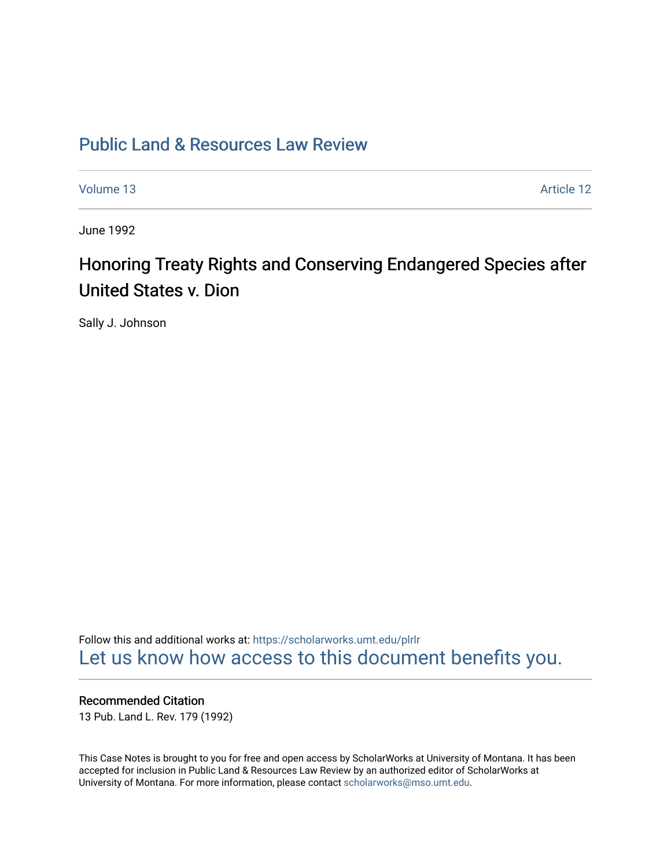# [Public Land & Resources Law Review](https://scholarworks.umt.edu/plrlr)

[Volume 13](https://scholarworks.umt.edu/plrlr/vol13) Article 12

June 1992

# Honoring Treaty Rights and Conserving Endangered Species after United States v. Dion

Sally J. Johnson

Follow this and additional works at: [https://scholarworks.umt.edu/plrlr](https://scholarworks.umt.edu/plrlr?utm_source=scholarworks.umt.edu%2Fplrlr%2Fvol13%2Fiss1%2F12&utm_medium=PDF&utm_campaign=PDFCoverPages)  [Let us know how access to this document benefits you.](https://goo.gl/forms/s2rGfXOLzz71qgsB2) 

# Recommended Citation

13 Pub. Land L. Rev. 179 (1992)

This Case Notes is brought to you for free and open access by ScholarWorks at University of Montana. It has been accepted for inclusion in Public Land & Resources Law Review by an authorized editor of ScholarWorks at University of Montana. For more information, please contact [scholarworks@mso.umt.edu.](mailto:scholarworks@mso.umt.edu)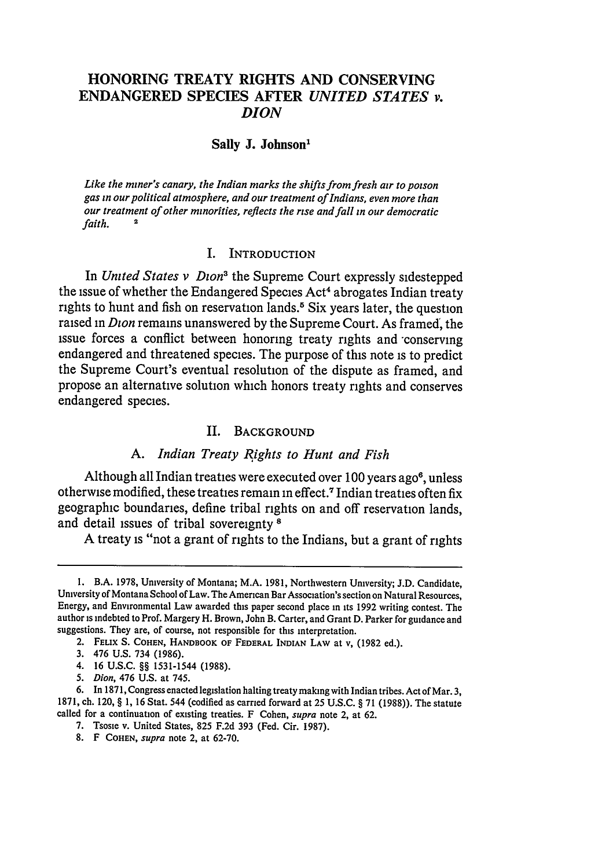# **HONORING TREATY RIGHTS AND CONSERVING ENDANGERED SPECIES AFTER** *UNITED STATES v. DION*

### **Sally J. Johnson'**

*Like the miner's canary, the Indian marks the shifts from fresh air to poison gas in our political atmosphere, and our treatment of Indians, even more than our treatment of other minorities, reflects the rise and fall in our democratic*  $f$ *aith.* 

#### I. INTRODUCTION

In *United States v Dion'* the Supreme Court expressly sidestepped the issue of whether the Endangered Species Act' abrogates Indian treaty rights to hunt and fish on reservation lands.<sup>5</sup> Six years later, the question raised in *Dion* remains unanswered **by** the Supreme Court. As framed, the issue forces a conflict between honoring treaty rights and -conserving endangered and threatened species. The purpose of this note is to predict the Supreme Court's eventual resolution of the dispute as framed, and propose an alternative solution which honors treaty rights and conserves endangered species.

#### **II. BACKGROUND**

#### *A. Indian Treaty Rights to Hunt and Fish*

Although all Indian treaties were executed over 100 years ago<sup>6</sup>, unless otherwise modified, these treaties remain in effect.7 Indian treaties often fix geographic boundaries, define tribal rights on and off reservation lands, and detail issues of tribal sovereignty **8**

**A** treaty is "not a grant of rights to the Indians, but a grant of rights

**3.** 476 U.S. 734 (1986).

*5. Dion,* 476 U.S. at 745.

I. B.A. 1978, University of Montana; M.A. 1981, Northwestern University; J.D. Candidate, University of Montana School of Law. The American Bar Association's section on Natural Resources, Energy, and Environmental Law awarded this paper second place in its 1992 writing contest. The author is indebted to Prof. Margery H. Brown, John B. Carter, and Grant D. Parker for guidance and suggestions. They are, of course, not responsible for this interpretation.

<sup>2.</sup> FELIX **S. COHEN, HANDBOOK** OF **FEDERAL INDIAN LAW** at v, **(1982** ed.).

<sup>4. 16</sup> U.S.C. §§ 1531-1544 (1988).

<sup>6.</sup> In 1871, Congress enacted legislation halting treaty making with Indian tribes. Act of Mar. 3, 1871, ch. 120, **§** 1, 16 Stat. 544 (codified as carried forward at 25 U.S.C. § 71 (1988)). The statute called for a continuation of existing treaties. F Cohen, *supra* note 2, at 62.

<sup>7.</sup> Tsosie v. United States, 825 F.2d 393 (Fed. Cir. 1987).

<sup>8.</sup> F **COHEN,** *supra* note 2, at **62-70.**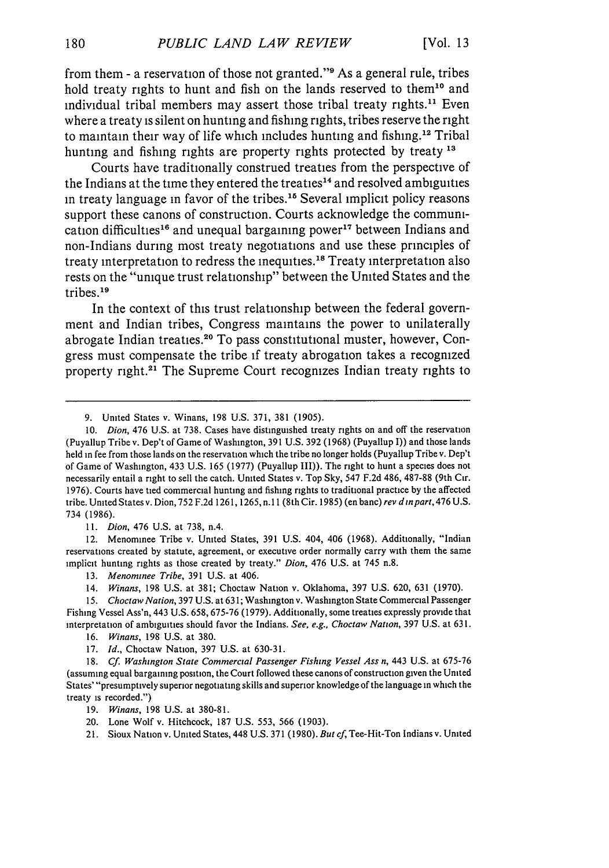from them - a reservation of those not granted." $\theta$  As a general rule, tribes hold treaty rights to hunt and fish on the lands reserved to them<sup>10</sup> and individual tribal members may assert those tribal treaty rights.<sup>11</sup> Even where a treaty is silent on hunting and fishing rights, tribes reserve the right to maintain their way of life which includes hunting and fishing.<sup>12</sup> Tribal hunting and fishing rights are property rights protected by treaty **13**

Courts have traditionally construed treaties from the perspective of the Indians at the time they entered the treaties<sup>14</sup> and resolved ambiguities in treaty language in favor of the tribes.<sup>16</sup> Several implicit policy reasons support these canons of construction. Courts acknowledge the communication difficulties<sup>16</sup> and unequal bargaining power<sup>17</sup> between Indians and non-Indians during most treaty negotiations and use these principles of treaty interpretation to redress the inequities.<sup>18</sup> Treaty interpretation also rests on the "unique trust relationship" between the United States and the tribes. $19$ 

In the context of this trust relationship between the federal government and Indian tribes, Congress maintains the power to unilaterally abrogate Indian treaties.<sup>20</sup> To pass constitutional muster, however, Congress must compensate the tribe if treaty abrogation takes a recognized property right.<sup>21</sup> The Supreme Court recognizes Indian treaty rights to

**11.** *Dion,* 476 U.S. at 738, n.4.

12. Menominee Tribe v. United States, **391** U.S. 404, 406 (1968). Additionally, "Indian reservations created by statute, agreement, or executive order normally carry with them the same implicit hunting rights as those created by treaty." *Dion,* 476 U.S. at 745 n.8.

**13.** *Menominee Tribe,* **391** U.S. at 406.

14. *Winans,* 198 U.S. at 381; Choctaw Nation v. Oklahoma, 397 U.S. 620, **631** (1970).

*15. Choctaw Nation,* 397 U.S. at 63 **1;** Washington v. Washington State Commercial Passenger Fishing Vessel Ass'n, 443 U.S. 658, 675-76 (1979). Additionally, some treaties expressly provide that interpretation of ambiguities should favor the Indians. *See, e.g., Choctaw Nation,* 397 U.S. at 631.

16. *Winans,* 198 U.S. at 380.

17. *Id.,* Choctaw Nation, 397 U.S. at 630-31.

**18.** *Cf. Washington State Commercial Passenger Fishing Vessel Ass n,* 443 U.S. at 675-76 (assuming equal bargaining position, the Court followed these canons of construction given the United States' "presumptively superior negotiating skills and superior knowledge of the language in which the treaty is recorded.")

19. *Winans,* **198** U.S. at 380-81.

20. Lone Wolf v. Hitchcock, **187** U.S. **553,** 566 (1903).

21. Sioux Nation v. United States, 448 U.S. **371** (1980). *But cf,* Tee-Hit-Ton Indians v. United

<sup>9.</sup> United States v. Winans, **198** U.S. 371, **381** (1905).

*<sup>10.</sup> Dion,* 476 U.S. at 738. Cases have distinguished treaty rights on and off the reservation (Puyallup Tribe v. Dep't of Game of Washington, **391** U.S. 392 (1968) (Puyallup I)) and those lands held in fee from those lands on the reservation which the tribe no longer holds (Puyallup Tribe v. Dep't of Game of Washington, 433 U.S. 165 (1977) (Puyallup III)). The right to hunt a species does not necessarily entail a right to sell the catch. United States v. Top Sky, 547 F.2d 486, 487-88 (9th Cir. 1976). Courts have tied commercial hunting and fishing rights to traditional practice by the affected tribe. United States v. Dion, 752 F.2d **1261,** 1265, n. **11** (8th Cir. **1985)** (en banc) *rev d inpart,* 476 U.S. 734 (1986).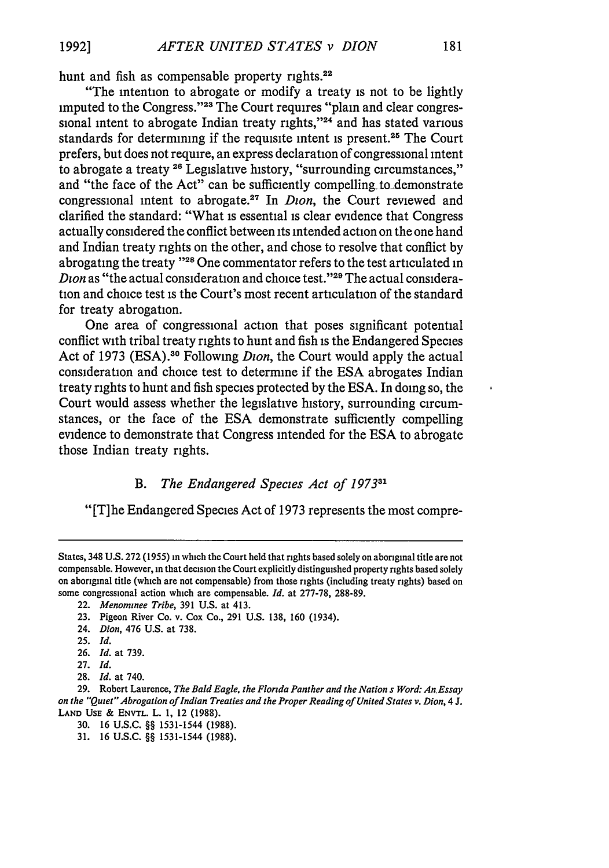hunt and fish as compensable property rights.<sup>22</sup>

"The intention to abrogate or modify a treaty is not to be lightly imputed to the Congress."<sup>23</sup> The Court requires "plain and clear congressional intent to abrogate Indian treaty rights," $24$  and has stated various standards for determining if the requisite intent is present.<sup>25</sup> The Court prefers, but does not require, an express declaration of congressional intent to abrogate a treaty **28** Legislative history, "surrounding circumstances," and "the face of the Act" can be sufficiently compelling-to-demonstrate congressional intent to abrogate.<sup>27</sup> In *Dion*, the Court reviewed and clarified the standard: "What is essential is clear evidence that Congress actually considered the conflict between its intended action on the one hand and Indian treaty rights on the other, and chose to resolve that conflict by abrogating the treaty **"28** One commentator refers to the test articulated in *Dion* as "the actual consideration and choice test."29 The actual consideration and choice test is the Court's most recent articulation of the standard for treaty abrogation.

One area of congressional action that poses significant potential conflict with tribal treaty rights to hunt and fish is the Endangered Species Act of 1973 (ESA).<sup>30</sup> Following *Dion*, the Court would apply the actual consideration and choice test to determine if the **ESA** abrogates Indian treaty rights to hunt and fish species protected by the ESA. In doing so, the Court would assess whether the legislative history, surrounding circumstances, or the face of the **ESA** demonstrate sufficiently compelling evidence to demonstrate that Congress intended for the **ESA** to abrogate those Indian treaty rights.

#### *B. The Endangered Species Act of 1973 <sup>1</sup>*

"[T]he Endangered Species Act of 1973 represents the most compre-

25. *Id.*

27. *Id.*

States, 348 U.S. 272 (1955) in which the Court held that rights based solely on aboriginal title are not compensable. However, in that decision the Court explicitly distinguished property rights based solely on aboriginal title (which are not compensable) from those rights (including treaty rights) based on some congressional action which are compensable. *Id.* at 277-78, 288-89.

<sup>22.</sup> *Menommnee Tribe,* 391 U.S. at 413.

<sup>23.</sup> Pigeon River Co. v. Cox Co., 291 U.S. 138, 160 (1934).

<sup>24.</sup> *Dion,* 476 U.S. at 738.

<sup>26.</sup> *Id.* at 739.

<sup>28.</sup> *Id.* at 740.

**<sup>29.</sup>** Robert Laurence, *The Bald Eagle, the Florida Panther and the Nation s Word: An.Essay on the "Quiet" Abrogation of Indian Treaties and the Proper Reading of United States v. Dion, 4* **J. LAND USE & ENVTL. L. 1,** 12 **(1988).**

**<sup>30. 16</sup> U.S.C.** §§ 1531-1544 **(1988).**

**<sup>31. 16</sup> U.S.C.** *§§* 1531-1544 **(1988).**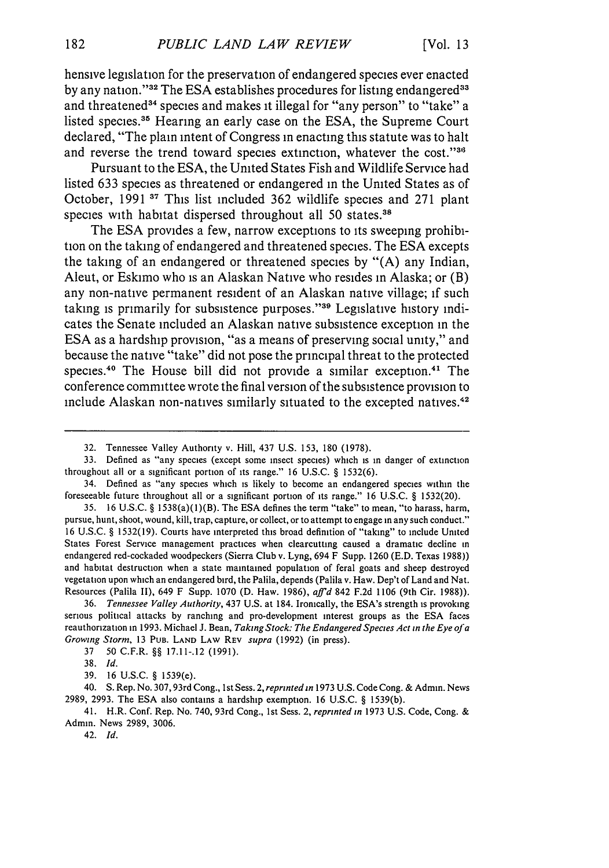hensive legislation for the preservation of endangered species ever enacted by any nation."<sup>32</sup> The ESA establishes procedures for listing endangered<sup>33</sup> and threatened<sup>34</sup> species and makes it illegal for "any person" to "take" a listed species.<sup>35</sup> Hearing an early case on the ESA, the Supreme Court declared, "The plain intent of Congress in enacting this statute was to halt and reverse the trend toward species extinction, whatever the cost."<sup>36</sup>

Pursuant to the **ESA,** the United States Fish and Wildlife Service had listed **633** species as threatened or endangered in the United States as of October, **1991 37** This list included **362** wildlife species and **271** plant species with habitat dispersed throughout all 50 states.<sup>38</sup>

The **ESA** provides a few, narrow exceptions to its sweeping prohibition on the taking of endangered and threatened species. The **ESA** excepts the taking of an endangered or threatened species **by "(A)** any Indian, Aleut, or Eskimo who is an Alaskan Native who resides in Alaska; or (B) any non-native permanent resident of an Alaskan native village; if such taking is primarily for subsistence purposes."<sup>39</sup> Legislative history indicates the Senate included an Alaskan native subsistence exception in the **ESA** as a hardship provision, "as a means of preserving social unity," and because the native "take" did not pose the principal threat to the protected species.<sup>40</sup> The House bill did not provide a similar exception.<sup>41</sup> The conference committee wrote the final version of the subsistence provision to include Alaskan non-natives similarly situated to the excepted natives.<sup>42</sup>

<sup>32.</sup> Tennessee Valley Authority v. Hill, 437 U.S. 153, 180 (1978).

<sup>33.</sup> Defined as "any species (except some insect species) which is in danger of extinction throughout all or a significant portion of its range." **16** U.S.C. § 1532(6).

<sup>34.</sup> Defined as "any species which is likely to become an endangered species within the foreseeable future throughout all or a significant portion of its range." 16 U.S.C. § 1532(20).

<sup>35. 16</sup> U.S.C. § 1538(a)(l)(B). The ESA defines the term "take" to mean, "to harass, harm, pursue, hunt, shoot, wound, kill, trap, capture, or collect, or to attempt to engage in any such conduct." 16 U.S.C. § 1532(19). Courts have interpreted this broad definition of "taking" to include United States Forest Service management practices when clearcutting caused a dramatic decline in endangered red-cockaded woodpeckers (Sierra Club v. Lyng, 694 F Supp. 1260 (E.D. Texas 1988)) and habitat destruction when a state maintained population of feral goats and sheep destroyed vegetation upon which an endangered bird, the Palila, depends (Palila v. Haw. Dep't of Land and Nat. Resources (Palila II), 649 F Supp. 1070 (D. Haw. 1986), *affid* 842 F.2d 1106 (9th Cir. 1988)).

<sup>36.</sup> *Tennessee Valley Authority,* 437 U.S. at 184. Ironically, the ESA's strength is provoking serious political attacks by ranching and pro-development interest groups as the **ESA** faces reauthorization in 1993. Michael J. Bean, *Taking Stock: The Endangered Species Act in the Eye of a Growing Storm,* 13 PuB. **LAND LAW REV** *supra* (1992) (in press).

<sup>37 50</sup> C.F.R. *§§* 17.11-.12 (1991).

**<sup>38.</sup>** *Id.*

<sup>39. 16</sup> U.S.C. *§* 1539(e).

<sup>40.</sup> S. Rep. No. 307,93rd Cong., 1 st Sess. 2, *reprinted in* 1973 U.S. Code Cong. & Admin. News 2989, 2993. The ESA also contains a hardship exemption. 16 U.S.C. § 1539(b).

<sup>41.</sup> H.R. Conf. Rep. No. 740, 93rd Cong., ist Sess. 2, *reprinted in* 1973 U.S. Code, Cong. & Admin. News 2989, 3006.

<sup>42.</sup> *Id.*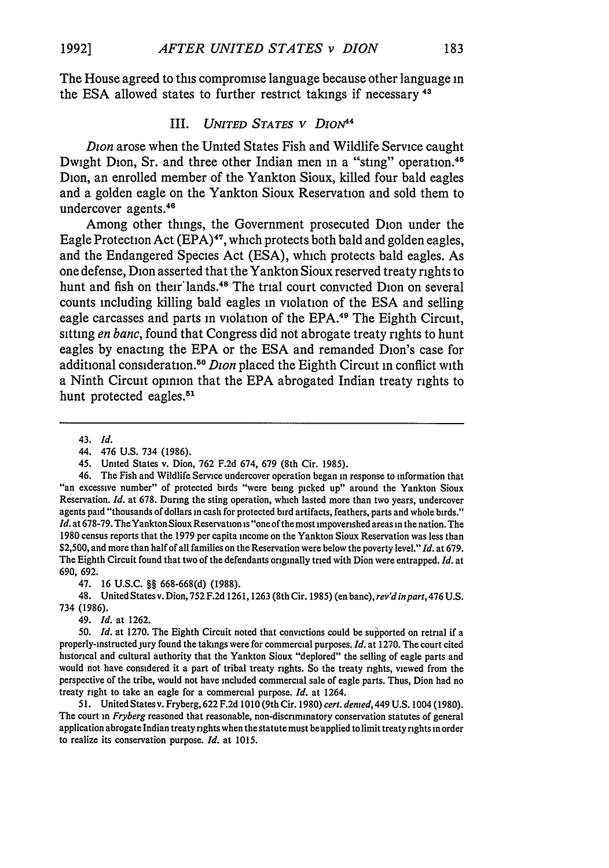The House agreed to this compromise language because other language in the ESA allowed states to further restrict takings if necessary<sup>43</sup>

#### III. *UNITED STATES V DioN44*

*Dion* arose when the United States Fish and Wildlife Service caught Dwight Dion, Sr. and three other Indian men in a "sting" operation.<sup>45</sup> Dion, an enrolled member of the Yankton Sioux, killed four bald eagles and a golden eagle on the Yankton Sioux Reservation and sold them to undercover agents.<sup>46</sup>

Among other things, the Government prosecuted Dion under the Eagle Protection Act (EPA)<sup>47</sup>, which protects both bald and golden eagles, and the Endangered Species Act (ESA), which protects bald eagles. As one defense, Dion asserted that the Yankton Sioux reserved treaty rights to hunt and fish on their lands.<sup>48</sup> The trial court convicted Dion on several counts including killing bald eagles in violation of the **ESA** and selling eagle carcasses and parts in violation of the EPA.<sup>49</sup> The Eighth Circuit, sitting *en banc,* found that Congress did not abrogate treaty rights to hunt eagles by enacting the **EPA** or the ESA and remanded Dion's case for additional consideration. <sup>50</sup>*Dion* placed the Eighth Circuit in conflict with a Ninth Circuit opinion that the **EPA** abrogated Indian treaty rights to hunt protected eagles.<sup>51</sup>

43. *Id.*

46. The Fish and Wildlife Service undercover operation began in response to information that "an excessive number" of protected birds "were being picked up" around the Yankton Sioux Reservation. *Id.* at 678. During the sting operation, which lasted more than two years, undercover agents paid "thousands of dollars in cash for protected bird artifacts, feathers, parts and whole birds." *Id.* at 678-79. The Yankton Sioux Reservation is "one of the most impoverished areas in the nation. The 1980 census reports that the 1979 per capita income on the Yankton Sioux Reservation was less than \$2,500, and more than half of all families on the Reservation were below the poverty level." *Id.* at 679. The Eighth Circuit found that two of the defendants originally tried with Dion were entrapped. *Id.* at 690, 692.

47. 16 U.S.C. §§ 668-668(d) (1988).

48. United Statesv. Dion, 752 F.2d **1261,** 1263 (8th Cir. 1985) (en banc), *rev'd inpart,* 476 **U.S.** 734 (1986).

49. *Id.* at **1262.**

50. *Id.* at 1270. The Eighth Circuit noted that convictions could be supported on retrial if a properly-instructed jury found the takings were for commercial purposes. *Id.* at 1270. The court cited historical and cultural authority that the Yankton Sioux "deplored" the selling of eagle parts and would not have considered it a part of tribal treaty rights. So the treaty rights, viewed from the perspective of the tribe, would not have included commercial sale of eagle parts. Thus, Dion had no treaty right to take an eagle for a commercial purpose. *Id.* at 1264.

51. United States v. Fryberg, 622 F.2d 1010 (9th Cir. 1980) *cert. denied,* 449 U.S. 1004 (1980). The court in *Fryberg* reasoned that reasonable, non-discnminatory conservation statutes of general application abrogate Indian treaty rights when the statute must beapplied to limit treaty rights in order to realize its conservation purpose. *Id.* at 1015.

<sup>44. 476</sup> U.S. 734 (1986).

<sup>45.</sup> Umted States v. Dion, 762 F.2d 674, 679 (8th Cir. 1985).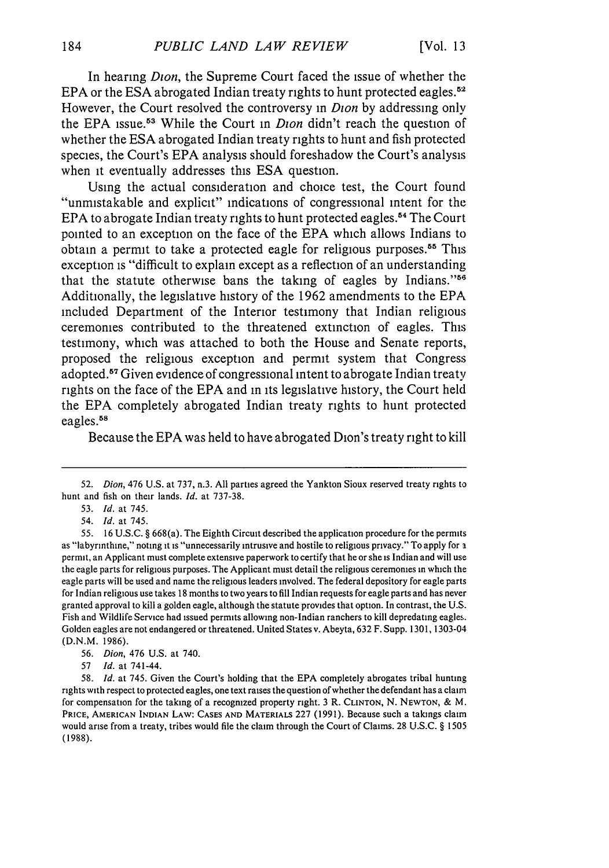In hearing *Dion,* the Supreme Court faced the issue of whether the **EPA** or the **ESA** abrogated Indian treaty rights to hunt protected eagles.5 " However, the Court resolved the controversy in *Dion* by addressing only the **EPA** issue.53 While the Court in *Dion* didn't reach the question **of** whether the **ESA** abrogated Indian treaty rights to hunt and fish protected species, the Court's **EPA** analysis should foreshadow the Court's analysis when it eventually addresses this **ESA** question.

Using the actual consideration and choice test, the Court found "unmistakable and explicit" indications of congressional intent for the EPA to abrogate Indian treaty rights to hunt protected eagles.<sup>54</sup> The Court pointed to an exception on the face of the **EPA** which allows Indians to obtain a permit to take a protected eagle for religious purposes.55 This exception is "difficult to explain except as a reflection of an understanding that the statute otherwise bans the taking of eagles **by** Indians."<sup>56</sup> Additionally, the legislative history of the **1962** amendments to the **EPA** included Department of the Interior testimony that Indian religious ceremonies contributed to the threatened extinction of eagles. This testimony, which was attached to both the House and Senate reports, proposed the religious exception and permit system that Congress adopted. 57 Given evidence of congressional intent to abrogate Indian treaty rights on the face of the **EPA** and in its legislative history, the Court held the **EPA** completely abrogated Indian treaty rights to hunt protected eagles.<sup>58</sup>

Because the **EPA** was held to have abrogated Dion's treaty right to kill

54. *Id.* at 745.

**55. 16 U.S.C. §** 668(a). The Eighth Circuit described the application procedure for the permits as "labyrinthine," noting **it** is "unnecessarily intrusive and hostile to religious privacy." To apply for a permit, an Applicant must complete extensive paperwork to certify that he or she is Indian and will use the eagle parts for religious purposes. The Applicant must detail the religious ceremonies in which the eagle parts will be used and name the religious leaders involved. The federal depository for eagle parts for Indian religious use takes **18** months to two years to **fill** Indian requests for eagle parts and has never granted approval to kill a golden eagle, although the statute provides that option. In contrast, the **U.S.** Fish and Wildlife Service had issued permits allowing non-Indian ranchers to kill depredating eagles. Golden eagles are not endangered or threatened. United States v. Abeyta, **632** F. Supp. **1301,** 1303-04 **(D.N.M. 1986).**

**56.** *Dion,* 476 **U.S.** at 740.

**57** *Id.* at 741-44.

**58.** *Id.* at 745. Given the Court's holding that the **EPA** completely abrogates tribal hunting rights with respect to protected eagles, one text raises the question of whether the defendant has a claim for compensation for the taking of a recognized property right. **3** R. **CLINTON, N. NEWTON, &** M. **PRICE, AMERICAN INDIAN LAW: CASES AND MATERIALS 227 (1991).** Because such a takings claim would arise from a treaty, tribes would file the claim through the Court of Claims. **28 U.S.C. § 1505 (1988).**

**<sup>52.</sup>** *Dion,* 476 **U.S.** at **737,** n.3. **All** parties agreed the Yankton Sioux reserved treaty rights to hunt and fish on their lands. *Id.* at **737-38.**

**<sup>53.</sup>** *Id.* at 745.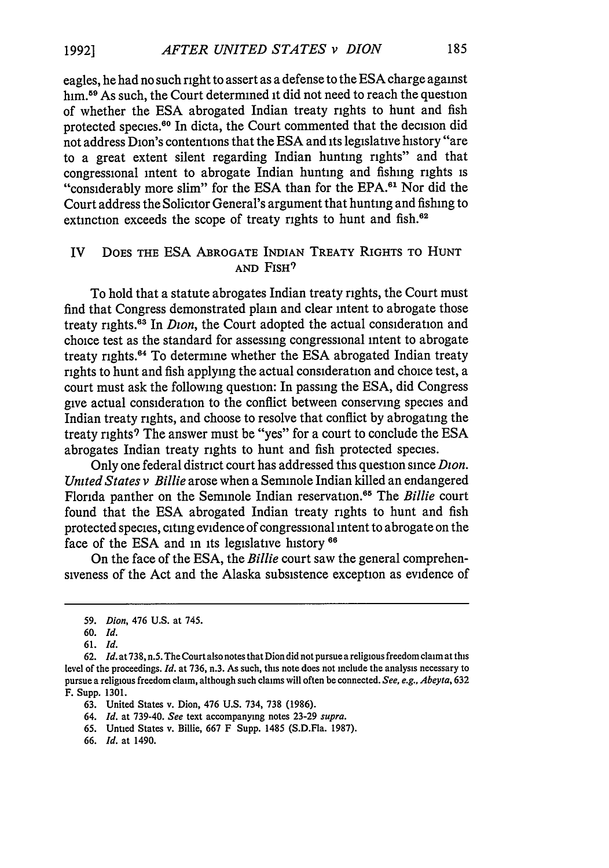eagles, he had no such right to assert as a defense to the ESA charge against him.59 As such, the Court determined **it** did not need to reach the question of whether the ESA abrogated Indian treaty rights to hunt and fish protected species.<sup>60</sup> In dicta, the Court commented that the decision did not address Dion's contentions that the ESA and its legislative history "are to a great extent silent regarding Indian hunting rights" and that congressional intent to abrogate Indian hunting and fishing rights is "considerably more slim" for the ESA than for the EPA.<sup>61</sup> Nor did the Court address the Solicitor General's argument that hunting and fishing to extinction exceeds the scope of treaty rights to hunt and fish.<sup>62</sup>

### IV **DOES** THE ESA ABROGATE INDIAN TREATY RIGHTS TO **HUNT AND FISH<sup>9</sup>**

To hold that a statute abrogates Indian treaty rights, the Court must find that Congress demonstrated plain and clear intent to abrogate those treaty rights.<sup>63</sup> In *Dion*, the Court adopted the actual consideration and choice test as the standard for assessing congressional intent to abrogate treaty rights.64 To determine whether the ESA abrogated Indian treaty rights to hunt and fish applying the actual consideration and choice test, a court must ask the following question: In passing the ESA, did Congress give actual consideration to the conflict between conserving species and Indian treaty rights, and choose to resolve that conflict **by** abrogating the treaty rights<sup>9</sup> The answer must be "yes" for a court to conclude the ESA abrogates Indian treaty rights to hunt and fish protected species.

Only one federal district court has addressed this question since *Dion. United States v Billie* arose when a Seminole Indian killed an endangered Florida panther on the Seminole Indian reservation.<sup>65</sup> The *Billie* court found that the ESA abrogated Indian treaty rights to hunt and fish protected species, citing evidence of congressional intent to abrogate on the face of the ESA and in its legislative history **66**

On the face of the ESA, the *Billie* court saw the general comprehensiveness of the Act and the Alaska subsistence exception as evidence of

*<sup>59.</sup> Dion,* 476 U.S. at 745.

**<sup>60.</sup>** *Id.*

*<sup>61.</sup> Id.*

**<sup>62.</sup>** *Id.* at **738,** n.5. The Court also notes that Dion did not pursue a religious freedom claim at this level of the proceedings. *Id.* at 736, n.3. As such, this note does not include the analysis necessary to pursue a religious freedom claim, although such claims will often be connected. *See, e.g., Abeyta,* 632 F. Supp. 1301.

<sup>63.</sup> United States v. Dion, 476 U.S. 734, 738 (1986).

<sup>64.</sup> *Id.* at 739-40. *See* text accompanying notes 23-29 *supra.*

<sup>65.</sup> Untied States v. Billie, 667 F Supp. 1485 (S.D.Fla. 1987).

<sup>66.</sup> *Id.* at 1490.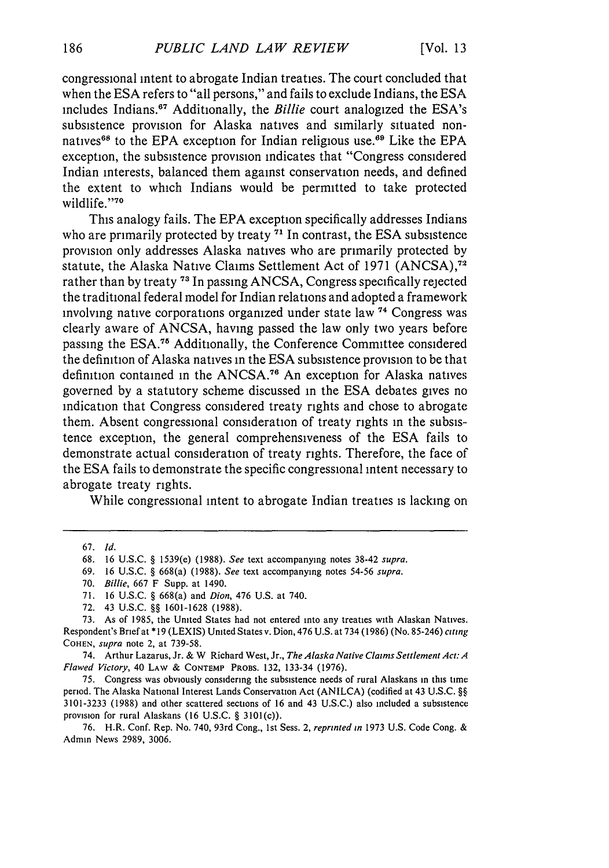congressional intent to abrogate Indian treaties. The court concluded that when the ESA refers to "all persons," and fails to exclude Indians, the ESA includes Indians."7 Additionally, the *Billie* court analogized the ESA's subsistence provision for Alaska natives and similarly situated nonnatives<sup>68</sup> to the EPA exception for Indian religious use.<sup>69</sup> Like the EPA exception, the subsistence provision indicates that "Congress considered Indian interests, balanced them against conservation needs, and defined the extent to which Indians would be permitted to take protected wildlife."70

This analogy fails. The EPA exception specifically addresses Indians who are primarily protected by treaty <sup>71</sup> In contrast, the ESA subsistence provision only addresses Alaska natives who are primarily protected by statute, the Alaska Native Claims Settlement Act of 1971 (ANCSA),<sup>72</sup> rather than by treaty **73 1** In passing ANCSA, Congress specifically rejected the traditional federal model for Indian relations and adopted a framework involving native corporations organized under state law **"4** Congress was clearly aware of ANCSA, having passed the law only two years before passing the **ESA.5** Additionally, the Conference Committee considered the definition of Alaska natives in the ESA subsistence provision to be that definition contained in the ANCSA.76 An exception for Alaska natives governed by a statutory scheme discussed in the ESA debates gives no indication that Congress considered treaty rights and chose to abrogate them. Absent congressional consideration of treaty rights in the subsistence exception, the general comprehensiveness of the ESA fails to demonstrate actual consideration of treaty rights. Therefore, the face of the ESA fails to demonstrate the specific congressional intent necessary to abrogate treaty rights.

While congressional intent to abrogate Indian treaties is lacking on

74. Arthur Lazarus, Jr. **&** W Richard West, Jr., *The* Alaska Native Claims Settlement *Act: A Flawed Victory,* 40 **LAW & CONTEMP** PROBS. **132,** 133-34 **(1976).**

**75.** Congress was obviously considering the subsistence needs of rural Alaskans **in** this time period. The Alaska National Interest Lands Conservation Act **(ANILCA)** (codified at 43 **U.S.C. §§ 3101-3233 (1988)** and other scattered sections of **16** and 43 **U.S.C.)** also included a subsistence provision for rural Alaskans **(16 U.S.C. §** 3101(c)).

**76.** H.R. Conf. Rep. No. 740, 93rd Cong., **1st** Sess. 2, reprinted tn **1973 U.S.** Code Cong. **& Admin** News **2989, 3006.**

**<sup>67.</sup>** *Id.*

<sup>68. 16</sup> U.S.C. **§ 1539(e) (1988).** *See* text accompanying notes 38-42 *supra.*

<sup>69. 16</sup> U.S.C. **§** 668(a) (1988). *See* text accompanying notes **54-56** *supra.*

<sup>70.</sup> *Billie,* 667 F Supp. at 1490.

<sup>71. 16</sup> U.S.C. § 668(a) and *Dion,* 476 U.S. at 740.

<sup>72. 43</sup> U.S.C. 88 1601-1628 (1988).

**<sup>73.</sup>** As of 1985, the United States had not entered into any treaties with Alaskan Natives. Respondent's Brief at \* **19** (LEXIS) United States v. Dion, 476 U.S. at 734 **(1986)** (No. 85-246) *cting* **COHEN,** *supra* note 2, at **739-58.**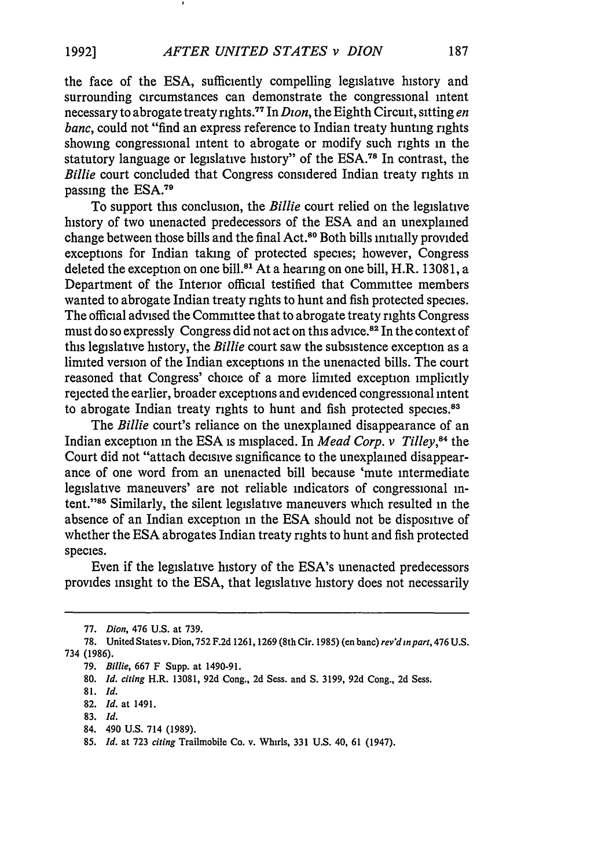the face of the ESA, sufficiently compelling legislative history and surrounding circumstances can demonstrate the congressional intent necessary to abrogate treaty rights.77 In *Dion,* the Eighth Circuit, sitting *en banc,* could not "find an express reference to Indian treaty hunting rights showing congressional intent to abrogate or modify such rights in the statutory language or legislative history" of the ESA.78 In contrast, the *Billie* court concluded that Congress considered Indian treaty rights in passing the ESA.<sup>79</sup>

To support this conclusion, the *Billie* court relied on the legislative history of two unenacted predecessors of the ESA and an unexplained change between those bills and the final Act.80 Both bills initially provided exceptions for Indian taking of protected species; however, Congress deleted the exception on one bill.<sup>81</sup> At a hearing on one bill, H.R. 13081, a Department of the Interior official testified that Committee members wanted to abrogate Indian treaty rights to hunt and fish protected species. The official advised the Committee that to abrogate treaty rights Congress must do so expressly Congress did not act on this advice. 82 In the context of this legislative history, the *Billie* court saw the subsistence exception as a limited version of the Indian exceptions in the unenacted bills. The court reasoned that Congress' choice of a more limited exception implicitly rejected the earlier, broader exceptions and evidenced congressional intent to abrogate Indian treaty rights to hunt and fish protected species.<sup>83</sup>

The *Billie* court's reliance on the unexplained disappearance of an Indian exception in the ESA is misplaced. In *Mead Corp. v Tilley,84* the Court did not "attach decisive significance to the unexplained disappearance of one word from an unenacted bill because 'mute intermediate legislative maneuvers' are not reliable indicators of congressional intent."<sup>85</sup> Similarly, the silent legislative maneuvers which resulted in the absence of an Indian exception in the ESA should not be dispositive of whether the ESA abrogates Indian treaty rights to hunt and fish protected species.

Even if the legislative history of the ESA's unenacted predecessors provides insight to the ESA, that legislative history does not necessarily

<sup>77.</sup> Dion, 476 U.S. at 739.

<sup>78.</sup> United States v. Dion, 752 F.2d 1261, 1269 (8th Cir. 1985) (en banc) **rev'd** *in part,* 476 U.S. 734 (1986).

<sup>79.</sup> *Billie,* 667 F Supp. at 1490-91.

<sup>80.</sup> *Id. citing* H.R. 13081, 92d Cong., 2d Sess. and S. 3199, 92d Cong., 2d Sess.

<sup>81.</sup> *Id.*

<sup>82.</sup> *Id.* at 1491.

**<sup>83.</sup>** *Id.*

<sup>84. 490</sup> U.S. 714 (1989).

<sup>85.</sup> *Id.* at 723 *citing* Trailmobile Co. v. Whirls, 331 U.S. 40, 61 (1947).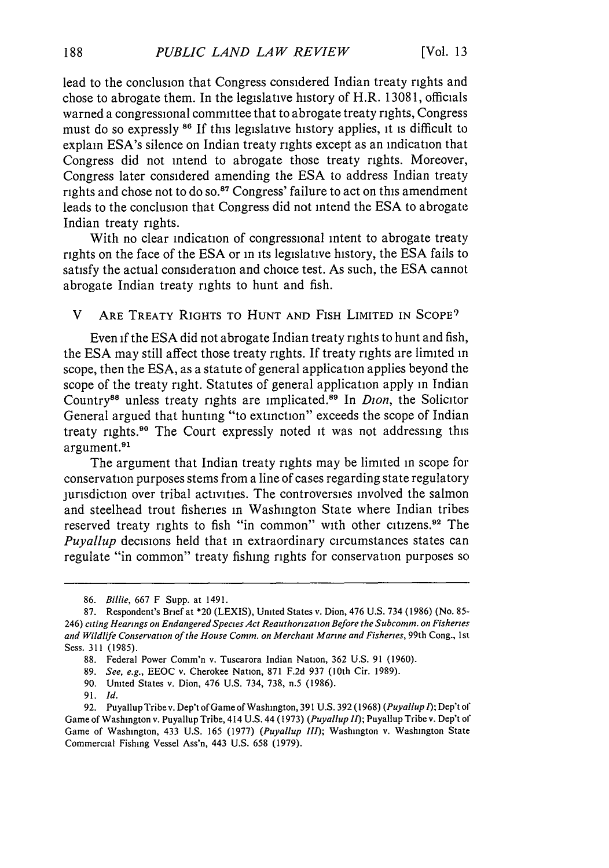lead to the conclusion that Congress considered Indian treaty rights and chose to abrogate them. In the legislative history of H.R. 13081, officials warned a congressional committee that to abrogate treaty rights, Congress must do so expressly **86** If this legislative history applies, **it** is difficult to explain ESA's silence on Indian treaty rights except as an indication that Congress did not intend to abrogate those treaty rights. Moreover, Congress later considered amending the ESA to address Indian treaty rights and chose not to do so.<sup>87</sup> Congress' failure to act on this amendment leads to the conclusion that Congress did not intend the ESA to abrogate Indian treaty rights.

With no clear indication of congressional intent to abrogate treaty rights on the face of the ESA or in its legislative history, the ESA fails to satisfy the actual consideration and choice test. As such, the ESA cannot abrogate Indian treaty rights to hunt and fish.

V ARE TREATY RIGHTS TO **HUNT AND** FISH LIMITED IN **SCOPE9**

Even **if** the ESA did not abrogate Indian treaty rights to hunt and fish, the ESA may still affect those treaty rights. If treaty rights are limited in scope, then the ESA, as a statute of general application applies beyond the scope of the treaty right. Statutes of general application apply in Indian Country"8 unless treaty rights are implicated.89 In *Dion,* the Solicitor General argued that hunting "to extinction" exceeds the scope of Indian treaty rights.90 The Court expressly noted **it** was not addressing this argument.<sup>91</sup>

The argument that Indian treaty rights may be limited in scope for conservation purposes stems from a line of cases regarding state regulatory jurisdiction over tribal activities. The controversies involved the salmon and steelhead trout fisheries in Washington State where Indian tribes reserved treaty rights to fish "in common" with other citizens.<sup>92</sup> The *Puyallup* decisions held that in extraordinary circumstances states can regulate "in common" treaty fishing rights for conservation purposes so

- **90.** United States v. Dion, 476 **U.S.** 734, **738,** n.5 **(1986).**
- **91.** *Id.*

**<sup>86.</sup>** *Billie,* **667** F Supp. at 1491.

**<sup>87.</sup>** Respondent's Brief at \*20 **(LEXIS),** United States v. Dion, 476 **U.S.** 734 **(1986)** (No. **85-** 246) *citing Hearings on Endangered Species Act Reauthorization Before the Subcomm. on Fisheries and Wildlife Conservation of the House Comm. on Merchant Marine and Fisheries,* 99th Cong., **1** st Sess. **311 (1985).**

**<sup>88.</sup>** Federal Power Comm'n v. Tuscarora Indian Nation, **362 U.S. 91 (1960).**

**<sup>89.</sup>** *See, e.g.,* **EEOC** v. Cherokee Nation, **871 F.2d 937** (10th Cir. **1989).**

**<sup>92.</sup>** Puyallup Tribe v. Dep't of Game of Washington, **391 U.S. 392(1968)** *(Puyallup 1);* Dep't *of* Game of Washington v. Puyallup Tribe, 414 **U.S.** 44 **(1973)** *(Puyallup II);* Puyallup Tribe v. Dep't of Game of Washington, 433 **U.S. 165 (1977)** *(Puyallup III);* Washington v. Washington State Commercial Fishing Vessel Ass'n, 443 **U.S. 658 (1979).**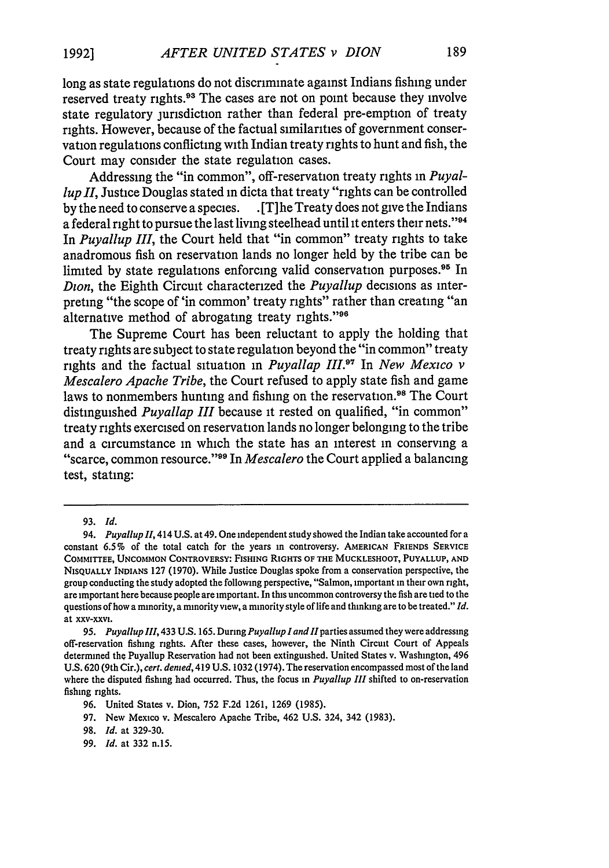long as state regulations do not discriminate against Indians fishing under reserved treaty rights.<sup>93</sup> The cases are not on point because they involve state regulatory jurisdiction rather than federal pre-emption of treaty rights. However, because of the factual similarities of government conservation regulations conflicting with Indian treaty rights to hunt and fish, the Court may consider the state regulation cases.

Addressing the "in common", off-reservation treaty rights in *Puyallup II,* Justice Douglas stated in dicta that treaty "rights can be controlled **by** the need to conserve a species. **.**[T]he Treaty does not give the Indians a federal right to pursue the last living steelhead until it enters their nets."<sup>94</sup> In *Puyallup III,* the Court held that "in common" treaty rights to take anadromous fish on reservation lands no longer held **by** the tribe can be limited by state regulations enforcing valid conservation purposes.<sup>95</sup> In *Dion,* the Eighth Circuit characterized the *Puyallup* decisions as interpreting "the scope of 'in common' treaty rights" rather than creating "an alternative method of abrogating treaty rights."<sup>96</sup>

The Supreme Court has been reluctant to apply the holding that treaty rights are subject to state regulation beyond the "in common" treaty rights and the factual situation in *Puyallap III."* In *New Mexico v Mescalero Apache Tribe,* the Court refused to apply state fish and game laws to nonmembers hunting and fishing on the reservation.<sup>98</sup> The Court distinguished *Puyallap III* because it rested on qualified, "in common" treaty rights exercised on reservation lands no longer belonging to the tribe and a circumstance in which the state has an interest in conserving a "scarce, common resource." 99 In *Mescalero* the Court applied a balancing test, stating:

97. New Mexico v. Mescalero Apache Tribe, 462 U.S. 324, 342 (1983).

99. *Id.* at 332 n.15.

<sup>93.</sup> *Id.*

<sup>94.</sup> *Puyallup* 11, 414 U.S. at 49. One independent study showed the Indian take accounted for a constant **6.5%** of the total catch for the years in controversy. AMERICAN FRIENDS SERVICE **COMMITTEE, UNCOMMON CONTROVERSY: FISHING RIGHTS OF THE MUCKLESHOOT, PUYALLUP, AND NISQUALLY INDIANS 127 (1970).** While Justice Douglas spoke from a conservation perspective, the group conducting the study adopted the following perspective, "Salmon, important in their own right, are important here because people are important. In this uncommon controversy the fish are tied to the questions of how a minority, a minority view, a minority style of life and thinking are to be treated." *Id.* at xxv-xxvi.

<sup>95.</sup> *Puyallup 111,* **433 U.S. 165.** During *Puyallup l and l* parties assumed they were addressing off-reservation fishing rights. After these cases, however, the Ninth Circuit Court of Appeals determined **the** Puyallup Reservation had not been extinguished. United States v. Washington, 496 U.S. 620 (9th Cir.), *cert. denied,* 419 U.S. 1032 (1974). The reservation encompassed most of the land where the disputed fishing had occurred. Thus, the focus in *Puyallup III* shifted to on-reservation fishing rights.

<sup>96.</sup> United States v. Dion, 752 F.2d 1261, 1269 (1985).

<sup>98.</sup> *Id.* at 329-30.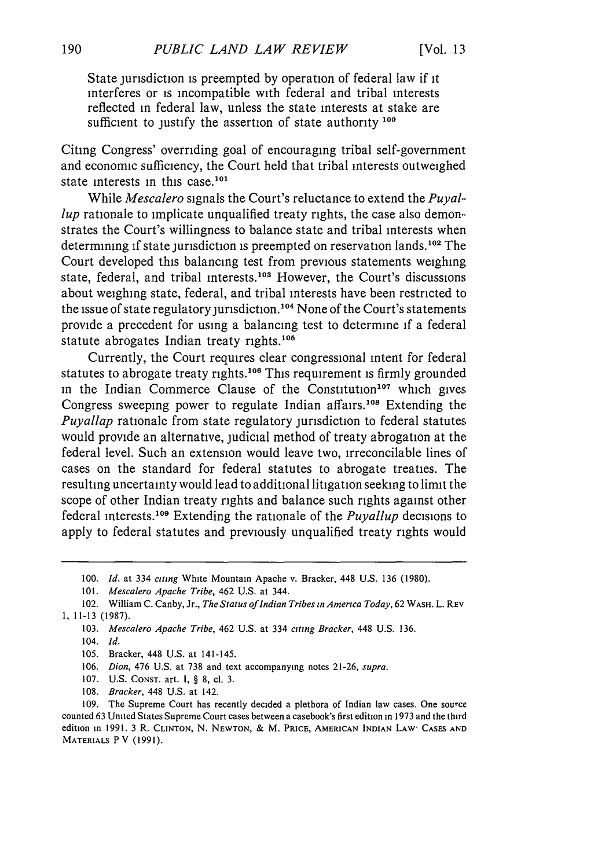State jurisdiction is preempted by operation of federal law if it interferes or is incompatible with federal and tribal interests reflected in federal law, unless the state interests at stake are sufficient to justify the assertion of state authority **<sup>100</sup>**

Citing Congress' overriding goal of encouraging tribal self-government and economic sufficiency, the Court held that tribal interests outweighed state interests in this case.<sup>101</sup>

While *Mescalero* signals the Court's reluctance to extend the *Puyallup* rationale to implicate unqualified treaty rights, the case also demonstrates the Court's willingness to balance state and tribal interests when determining if state jurisdiction is preempted on reservation lands.<sup>102</sup> The Court developed this balancing test from previous statements weighing state, federal, and tribal interests.<sup>103</sup> However, the Court's discussions about weighing state, federal, and tribal interests have been restricted to the issue of state regulatory jurisdiction.<sup>104</sup> None of the Court's statements provide a precedent for using a balancing test to determine if a federal statute abrogates Indian treaty rights.<sup>105</sup>

Currently, the Court requires clear congressional intent for federal statutes to abrogate treaty rights.<sup>106</sup> This requirement is firmly grounded in the Indian Commerce Clause of the Constitution<sup>107</sup> which gives Congress sweeping power to regulate Indian affairs.<sup>108</sup> Extending the *Puyallap* rationale from state regulatory jurisdiction to federal statutes would provide an alternative, judicial method of treaty abrogation at the federal level. Such an extension would leave two, irreconcilable lines of cases on the standard for federal statutes to abrogate treaties. The resulting uncertainty would lead to additional litigation seeking to limit the scope of other Indian treaty rights and balance such rights against other federal interests.<sup>109</sup> Extending the rationale of the *Puyallup* decisions to apply to federal statutes and previously unqualified treaty rights would

- 105. Bracker, 448 U.S. at 141-145.
- 106. *Dion,* 476 U.S. at 738 and text accompanying notes 21-26, *supra.*
- 107. U.S. **CONST.** art. I, § 8, cl. 3.
- 108. *Bracker,* 448 U.S. at 142.

109. The Supreme Court has recently decided a plethora of Indian law cases. One source counted 63 United States Supreme Court cases between a casebook's first edition in 1973 and the third edition in 1991. 3 R. **CLINTON,** N. **NEWTON,** & M. PRICE, **AMERICAN INDIAN** LAW- **CASES AND** MATERIALS P V (1991).

<sup>100.</sup> *Id.* at 334 *citing* White Mountain Apache v. Bracker, 448 U.S. 136 (1980).

<sup>101.</sup> *Mescalero Apache Tribe,* 462 U.S. at 344.

<sup>102.</sup> William C. Canby, Jr., *The Status of Indian Tribes in America Today*, 62 WASH. L. REV 1, 11-13 (1987).

<sup>103.</sup> *Mescalero Apache Tribe,* 462 U.S. at 334 *citing Bracker,* 448 U.S. 136.

<sup>104.</sup> *Id.*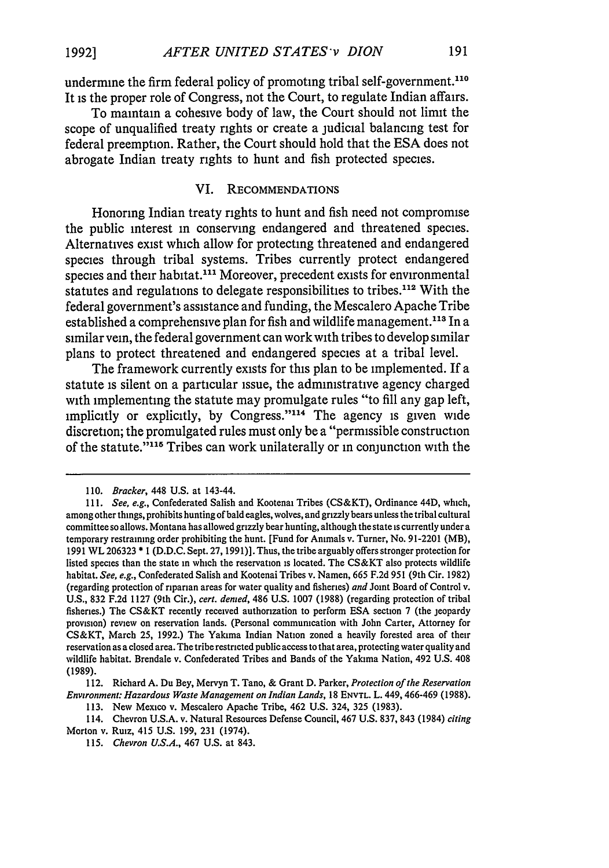undermine the firm federal policy of promoting tribal self-government.<sup>110</sup> It is the proper role of Congress, not the Court, to regulate Indian affairs.

To maintain a cohesive body of law, the Court should not limit the scope of unqualified treaty rights or create a judicial balancing test for federal preemption. Rather, the Court should hold that the ESA does not abrogate Indian treaty rights to hunt and fish protected species.

#### VI. **RECOMMENDATIONS**

Honoring Indian treaty rights to hunt and fish need not compromise the public interest in conserving endangered and threatened species. Alternatives exist which allow for protecting threatened and endangered species through tribal systems. Tribes currently protect endangered species and their habitat.<sup>111</sup> Moreover, precedent exists for environmental statutes and regulations to delegate responsibilities to tribes.<sup>112</sup> With the federal government's assistance and funding, the Mescalero Apache Tribe established a comprehensive plan for fish and wildlife management.<sup>113</sup> In a similar vein, the federal government can work with tribes to develop similar plans to protect threatened and endangered species at a tribal level.

The framework currently exists for this plan to be implemented. If a statute is silent on a particular issue, the administrative agency charged with implementing the statute may promulgate rules "to fill any gap left, implicitly or explicitly, by Congress."<sup>114</sup> The agency is given wide discretion; the promulgated rules must only be a "permissible construction of the statute."<sup>115</sup> Tribes can work unilaterally or in conjunction with the

<sup>110.</sup> *Bracker,* 448 U.S. at 143-44.

*<sup>111.</sup> See, e.g.,* Confederated Salish and Kootenai Tribes (CS&KT), Ordinance 44D, which, among other things, prohibits hunting of bald eagles, wolves, and grizzly bears unless the tribal cultural committee so allows. Montana has allowed grizzly bear hunting, although the state is currently under a temporary restraining order prohibiting the hunt. [Fund for Animals v. Turner, No. 91-2201 (MB), 1991 WL 206323 \* I (D.D.C. Sept. 27, 1991)]. Thus, the tribe arguably offers stronger protection for listed species than the state in which the reservation is located. The CS&KT also protects wildlife habitat. *See, e.g.,* Confederated Salish and Kootenai Tribes v. Namen, 665 F.2d 951 (9th Cir. 1982) (regarding protection of riparian areas for water quality and fisheries) *and* Joint Board of Control v. U.S., 832 F.2d 1127 (9th Cir.), *cert. denied,* 486 U.S. 1007 (1988) (regarding protection of tribal fisheries.) The CS&KT recently received authorization to perform ESA section 7 (the jeopardy provision) review on reservation lands. (Personal communication with John Carter, Attorney for CS&KT, March 25, 1992.) The Yakima Indian Nation zoned a heavily forested area of their reservation as a closed area. The tribe restricted public access to that area, protecting water quality and wildlife habitat. Brendale v. Confederated Tribes and Bands of the Yakima Nation, 492 U.S. 408 (1989).

<sup>112.</sup> Richard A. Du Bey, Mervyn T. Tano, & Grant D. Parker, *Protection of the Reservation Environment: Hazardous Waste Management on Indian Lands,* 18 **ENVTL.** L. 449,466-469 (1988).

<sup>113.</sup> New Mexico v. Mescalero Apache Tribe, 462 U.S. 324, 325 (1983).

<sup>114.</sup> Chevron U.S.A. v. Natural Resources Defense Council, 467 U.S. 837, 843 (1984) *citing* Morton v. Ruiz, 415 U.S. 199, 231 (1974).

<sup>115.</sup> Chevron *U.S.A.,* 467 U.S. at 843.